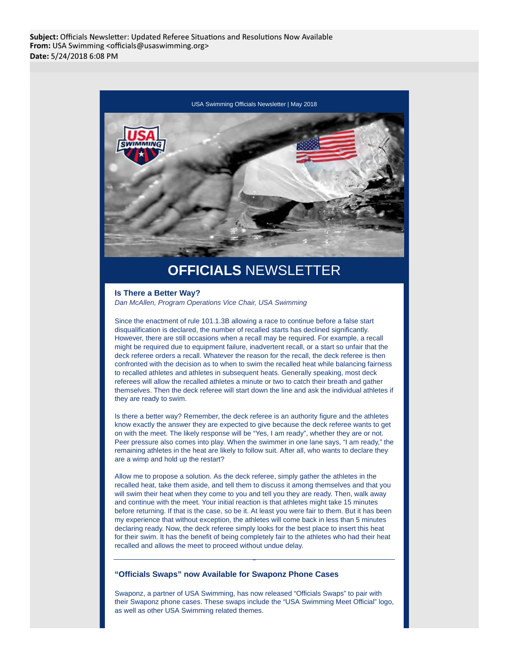Subject: Officials Newsletter: Updated Referee Situations and Resolutions Now Available From: USA Swimming <officials@usaswimming.org> Date: 5/24/2018 6:08 PM



# **OFFICIALS** NEWSLETTER

### **Is There a Better Way?**

Dan McAllen, Program Operations Vice Chair, USA Swimming

Since the enactment of rule 101.1.3B allowing a race to continue before a false start disqualification is declared, the number of recalled starts has declined significantly. However, there are still occasions when a recall may be required. For example, a recall might be required due to equipment failure, inadvertent recall, or a start so unfair that the deck referee orders a recall. Whatever the reason for the recall, the deck referee is then confronted with the decision as to when to swim the recalled heat while balancing fairness to recalled athletes and athletes in subsequent heats. Generally speaking, most deck referees will allow the recalled athletes a minute or two to catch their breath and gather themselves. Then the deck referee will start down the line and ask the individual athletes if they are ready to swim.

Is there a better way? Remember, the deck referee is an authority figure and the athletes know exactly the answer they are expected to give because the deck referee wants to get on with the meet. The likely response will be "Yes, I am ready", whether they are or not. Peer pressure also comes into play. When the swimmer in one lane says, "I am ready," the remaining athletes in the heat are likely to follow suit. After all, who wants to declare they are a wimp and hold up the restart?

Allow me to propose a solution. As the deck referee, simply gather the athletes in the recalled heat, take them aside, and tell them to discuss it among themselves and that you will swim their heat when they come to you and tell you they are ready. Then, walk away and continue with the meet. Your initial reaction is that athletes might take 15 minutes before returning. If that is the case, so be it. At least you were fair to them. But it has been my experience that without exception, the athletes will come back in less than 5 minutes declaring ready. Now, the deck referee simply looks for the best place to insert this heat for their swim. It has the benefit of being completely fair to the athletes who had their heat recalled and allows the meet to proceed without undue delay.

## **"Officials Swaps" now Available for Swaponz Phone Cases**

Swaponz, a partner of USA Swimming, has now released "Officials Swaps" to pair with their Swaponz phone cases. These swaps include the "USA Swimming Meet Official" logo, as well as other USA Swimming related themes.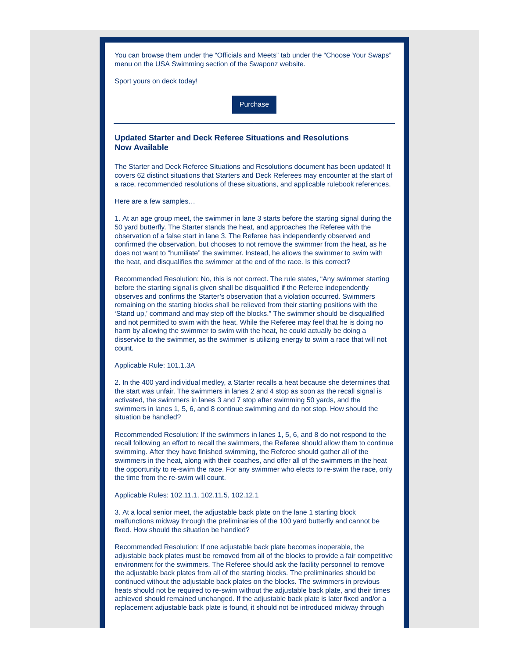You can browse them under the "Officials and Meets" tab under the "Choose Your Swaps" menu on the USA Swimming section of the Swaponz website.

Sport yours on deck today!



# **Updated Starter and Deck Referee Situations and Resolutions Now Available**

The Starter and Deck Referee Situations and Resolutions document has been updated! It covers 62 distinct situations that Starters and Deck Referees may encounter at the start of a race, recommended resolutions of these situations, and applicable rulebook references.

Here are a few samples…

1. At an age group meet, the swimmer in lane 3 starts before the starting signal during the 50 yard butterfly. The Starter stands the heat, and approaches the Referee with the observation of a false start in lane 3. The Referee has independently observed and confirmed the observation, but chooses to not remove the swimmer from the heat, as he does not want to "humiliate" the swimmer. Instead, he allows the swimmer to swim with the heat, and disqualifies the swimmer at the end of the race. Is this correct?

Recommended Resolution: No, this is not correct. The rule states, "Any swimmer starting before the starting signal is given shall be disqualified if the Referee independently observes and confirms the Starter's observation that a violation occurred. Swimmers remaining on the starting blocks shall be relieved from their starting positions with the 'Stand up,' command and may step off the blocks." The swimmer should be disqualified and not permitted to swim with the heat. While the Referee may feel that he is doing no harm by allowing the swimmer to swim with the heat, he could actually be doing a disservice to the swimmer, as the swimmer is utilizing energy to swim a race that will not count.

#### Applicable Rule: 101.1.3A

2. In the 400 yard individual medley, a Starter recalls a heat because she determines that the start was unfair. The swimmers in lanes 2 and 4 stop as soon as the recall signal is activated, the swimmers in lanes 3 and 7 stop after swimming 50 yards, and the swimmers in lanes 1, 5, 6, and 8 continue swimming and do not stop. How should the situation be handled?

Recommended Resolution: If the swimmers in lanes 1, 5, 6, and 8 do not respond to the recall following an effort to recall the swimmers, the Referee should allow them to continue swimming. After they have finished swimming, the Referee should gather all of the swimmers in the heat, along with their coaches, and offer all of the swimmers in the heat the opportunity to re-swim the race. For any swimmer who elects to re-swim the race, only the time from the re-swim will count.

#### Applicable Rules: 102.11.1, 102.11.5, 102.12.1

3. At a local senior meet, the adjustable back plate on the lane 1 starting block malfunctions midway through the preliminaries of the 100 yard butterfly and cannot be fixed. How should the situation be handled?

Recommended Resolution: If one adjustable back plate becomes inoperable, the adjustable back plates must be removed from all of the blocks to provide a fair competitive environment for the swimmers. The Referee should ask the facility personnel to remove the adjustable back plates from all of the starting blocks. The preliminaries should be continued without the adjustable back plates on the blocks. The swimmers in previous heats should not be required to re-swim without the adjustable back plate, and their times achieved should remained unchanged. If the adjustable back plate is later fixed and/or a replacement adjustable back plate is found, it should not be introduced midway through